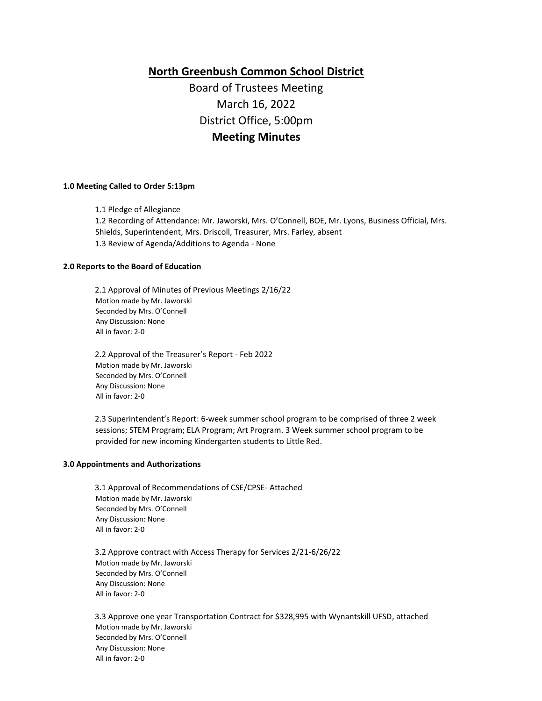**North Greenbush Common School District**

Board of Trustees Meeting March 16, 2022 District Office, 5:00pm **Meeting Minutes**

# **1.0 Meeting Called to Order 5:13pm**

1.1 Pledge of Allegiance 1.2 Recording of Attendance: Mr. Jaworski, Mrs. O'Connell, BOE, Mr. Lyons, Business Official, Mrs. Shields, Superintendent, Mrs. Driscoll, Treasurer, Mrs. Farley, absent 1.3 Review of Agenda/Additions to Agenda - None

#### **2.0 Reports to the Board of Education**

2.1 Approval of Minutes of Previous Meetings 2/16/22 Motion made by Mr. Jaworski Seconded by Mrs. O'Connell Any Discussion: None All in favor: 2-0

2.2 Approval of the Treasurer's Report - Feb 2022 Motion made by Mr. Jaworski Seconded by Mrs. O'Connell Any Discussion: None All in favor: 2-0

2.3 Superintendent's Report: 6-week summer school program to be comprised of three 2 week sessions; STEM Program; ELA Program; Art Program. 3 Week summer school program to be provided for new incoming Kindergarten students to Little Red.

## **3.0 Appointments and Authorizations**

3.1 Approval of Recommendations of CSE/CPSE- Attached Motion made by Mr. Jaworski Seconded by Mrs. O'Connell Any Discussion: None All in favor: 2-0

3.2 Approve contract with Access Therapy for Services 2/21-6/26/22 Motion made by Mr. Jaworski Seconded by Mrs. O'Connell Any Discussion: None All in favor: 2-0

3.3 Approve one year Transportation Contract for \$328,995 with Wynantskill UFSD, attached Motion made by Mr. Jaworski Seconded by Mrs. O'Connell Any Discussion: None All in favor: 2-0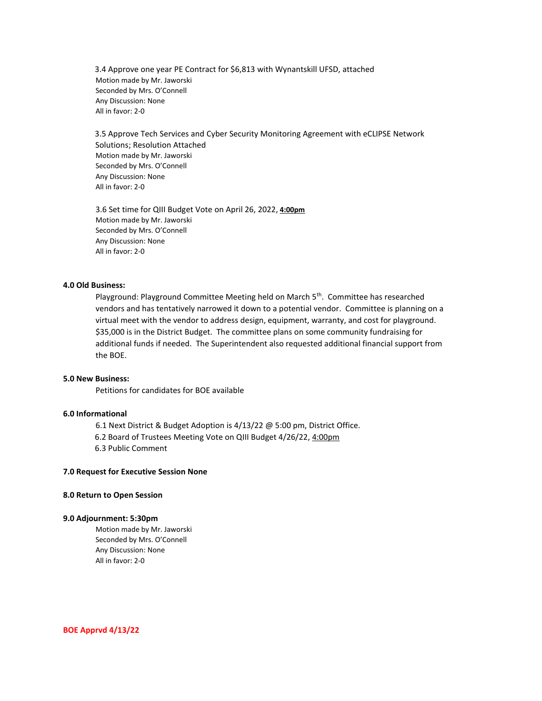3.4 Approve one year PE Contract for \$6,813 with Wynantskill UFSD, attached Motion made by Mr. Jaworski Seconded by Mrs. O'Connell Any Discussion: None All in favor: 2-0

3.5 Approve Tech Services and Cyber Security Monitoring Agreement with eCLIPSE Network Solutions; Resolution Attached Motion made by Mr. Jaworski Seconded by Mrs. O'Connell Any Discussion: None All in favor: 2-0

3.6 Set time for QIII Budget Vote on April 26, 2022, **4:00pm** Motion made by Mr. Jaworski Seconded by Mrs. O'Connell Any Discussion: None All in favor: 2-0

## **4.0 Old Business:**

Playground: Playground Committee Meeting held on March 5<sup>th</sup>. Committee has researched vendors and has tentatively narrowed it down to a potential vendor. Committee is planning on a virtual meet with the vendor to address design, equipment, warranty, and cost for playground. \$35,000 is in the District Budget. The committee plans on some community fundraising for additional funds if needed. The Superintendent also requested additional financial support from the BOE.

## **5.0 New Business:**

Petitions for candidates for BOE available

# **6.0 Informational**

6.1 Next District & Budget Adoption is 4/13/22 @ 5:00 pm, District Office. 6.2 Board of Trustees Meeting Vote on QIII Budget 4/26/22, 4:00pm 6.3 Public Comment

#### **7.0 Request for Executive Session None**

# **8.0 Return to Open Session**

#### **9.0 Adjournment: 5:30pm**

Motion made by Mr. Jaworski Seconded by Mrs. O'Connell Any Discussion: None All in favor: 2-0

**BOE Apprvd 4/13/22**